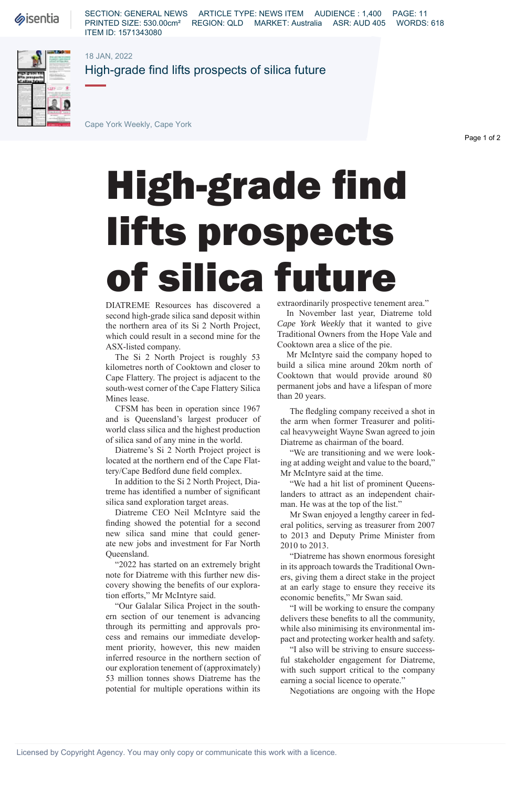**Sisentia** 

SECTION: GENERAL NEWS ARTICLE TYPE: NEWS ITEM AUDIENCE : 1,400 PAGE: 11 PRINTED SIZE: 530.00cm² REGION: QLD MARKET: Australia ASR: AUD 405 WORDS: 618 ITEM ID: 1571343080

18 JAN, 2022



High-grade find lifts prospects of silica future

Cape York Weekly, Cape York

Page 1 of 2

## High-grade find lifts prospects of silica future

DIATREME Resources has discovered a second high-grade silica sand deposit within the northern area of its Si 2 North Project, which could result in a second mine for the ASX-listed company.

The Si 2 North Project is roughly 53 kilometres north of Cooktown and closer to Cape Flattery. The project is adjacent to the south-west corner of the Cape Flattery Silica Mines lease.

CFSM has been in operation since 1967 and is Queensland's largest producer of world class silica and the highest production of silica sand of any mine in the world.

Diatreme's Si 2 North Project project is located at the northern end of the Cape Flattery/Cape Bedford dune field complex.

In addition to the Si 2 North Project, Diatreme has identified a number of significant silica sand exploration target areas.

Diatreme CEO Neil McIntyre said the finding showed the potential for a second new silica sand mine that could generate new jobs and investment for Far North Queensland.

"2022 has started on an extremely bright note for Diatreme with this further new discovery showing the benefits of our exploration efforts," Mr McIntyre said.

"Our Galalar Silica Project in the southern section of our tenement is advancing through its permitting and approvals process and remains our immediate development priority, however, this new maiden inferred resource in the northern section of our exploration tenement of (approximately) 53 million tonnes shows Diatreme has the potential for multiple operations within its

extraordinarily prospective tenement area."

In November last year, Diatreme told *Cape York Weekly* that it wanted to give Traditional Owners from the Hope Vale and Cooktown area a slice of the pie.

Mr McIntyre said the company hoped to build a silica mine around 20km north of Cooktown that would provide around 80 permanent jobs and have a lifespan of more than 20 years.

The fledgling company received a shot in the arm when former Treasurer and political heavyweight Wayne Swan agreed to join Diatreme as chairman of the board.

"We are transitioning and we were looking at adding weight and value to the board," Mr McIntyre said at the time.

"We had a hit list of prominent Queenslanders to attract as an independent chairman. He was at the top of the list."

Mr Swan enjoyed a lengthy career in federal politics, serving as treasurer from 2007 to 2013 and Deputy Prime Minister from 2010 to 2013.

"Diatreme has shown enormous foresight in its approach towards the Traditional Owners, giving them a direct stake in the project at an early stage to ensure they receive its economic benefits," Mr Swan said.

"I will be working to ensure the company delivers these benefits to all the community, while also minimising its environmental impact and protecting worker health and safety.

"I also will be striving to ensure successful stakeholder engagement for Diatreme, with such support critical to the company earning a social licence to operate."

Negotiations are ongoing with the Hope